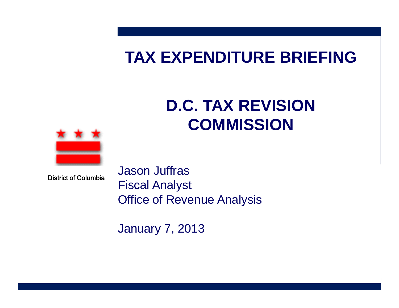# **TAX EXPENDITURE BRIEFING**

# **D.C. TAX REVISION COMMISSION**



District of Columbia

Jason Juffras Fiscal Analyst Office of Revenue Analysis

January 7, 2013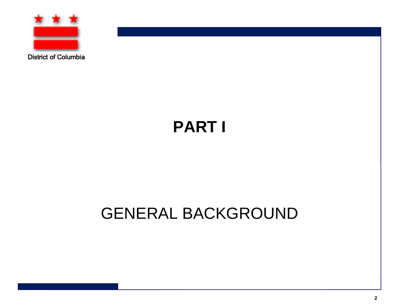

District of Columbia

# **PART I**

# GENERAL BACKGROUND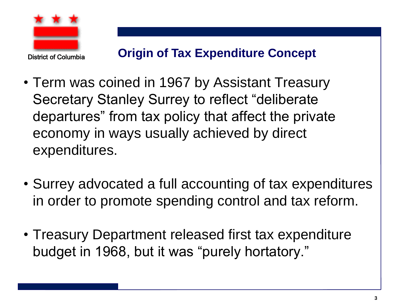

- Term was coined in 1967 by Assistant Treasury Secretary Stanley Surrey to reflect "deliberate departures" from tax policy that affect the private economy in ways usually achieved by direct expenditures.
- Surrey advocated a full accounting of tax expenditures in order to promote spending control and tax reform.
- Treasury Department released first tax expenditure budget in 1968, but it was "purely hortatory."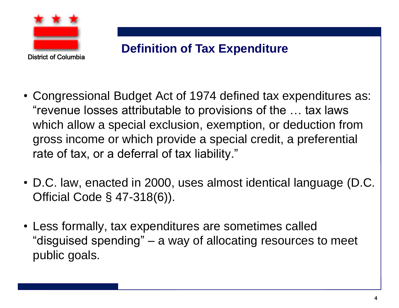

#### **Definition of Tax Expenditure**

- Congressional Budget Act of 1974 defined tax expenditures as: "revenue losses attributable to provisions of the … tax laws which allow a special exclusion, exemption, or deduction from gross income or which provide a special credit, a preferential rate of tax, or a deferral of tax liability."
- D.C. law, enacted in 2000, uses almost identical language (D.C. Official Code § 47-318(6)).
- Less formally, tax expenditures are sometimes called "disguised spending" – a way of allocating resources to meet public goals.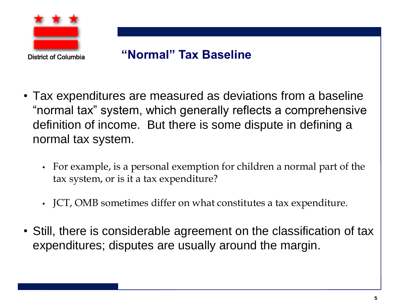

#### **"Normal" Tax Baseline**

- Tax expenditures are measured as deviations from a baseline "normal tax" system, which generally reflects a comprehensive definition of income. But there is some dispute in defining a normal tax system.
	- For example, is a personal exemption for children a normal part of the tax system, or is it a tax expenditure?
	- JCT, OMB sometimes differ on what constitutes a tax expenditure.
- Still, there is considerable agreement on the classification of tax expenditures; disputes are usually around the margin.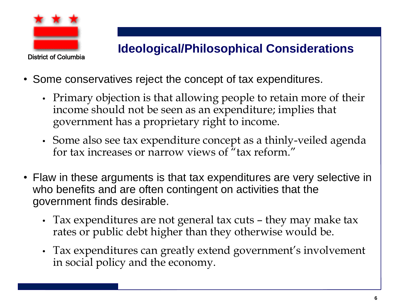

#### **Ideological/Philosophical Considerations**

- Some conservatives reject the concept of tax expenditures.
	- Primary objection is that allowing people to retain more of their income should not be seen as an expenditure; implies that government has a proprietary right to income.
	- Some also see tax expenditure concept as a thinly-veiled agenda for tax increases or narrow views of "tax reform."
- Flaw in these arguments is that tax expenditures are very selective in who benefits and are often contingent on activities that the government finds desirable.
	- Tax expenditures are not general tax cuts they may make tax rates or public debt higher than they otherwise would be.
	- Tax expenditures can greatly extend government's involvement in social policy and the economy.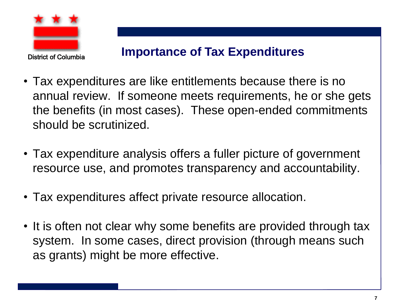

#### **Importance of Tax Expenditures**

- Tax expenditures are like entitlements because there is no annual review. If someone meets requirements, he or she gets the benefits (in most cases). These open-ended commitments should be scrutinized.
- Tax expenditure analysis offers a fuller picture of government resource use, and promotes transparency and accountability.
- Tax expenditures affect private resource allocation.
- It is often not clear why some benefits are provided through tax system. In some cases, direct provision (through means such as grants) might be more effective.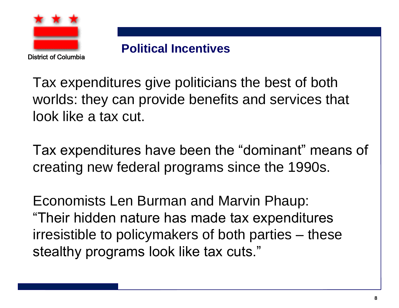

#### **Political Incentives**

Tax expenditures give politicians the best of both worlds: they can provide benefits and services that look like a tax cut.

Tax expenditures have been the "dominant" means of creating new federal programs since the 1990s.

Economists Len Burman and Marvin Phaup: "Their hidden nature has made tax expenditures irresistible to policymakers of both parties – these stealthy programs look like tax cuts."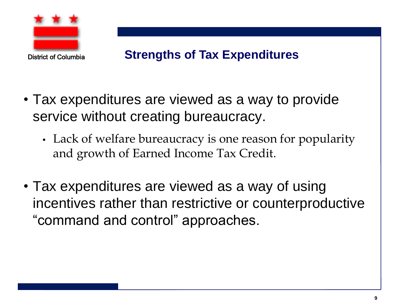

#### **Strengths of Tax Expenditures**

- Tax expenditures are viewed as a way to provide service without creating bureaucracy.
	- Lack of welfare bureaucracy is one reason for popularity and growth of Earned Income Tax Credit.
- Tax expenditures are viewed as a way of using incentives rather than restrictive or counterproductive "command and control" approaches.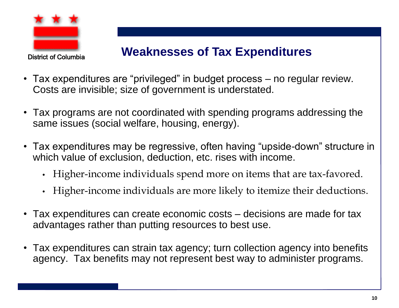

#### **Weaknesses of Tax Expenditures**

- Tax expenditures are "privileged" in budget process no regular review. Costs are invisible; size of government is understated.
- Tax programs are not coordinated with spending programs addressing the same issues (social welfare, housing, energy).
- Tax expenditures may be regressive, often having "upside-down" structure in which value of exclusion, deduction, etc. rises with income.
	- Higher-income individuals spend more on items that are tax-favored.
	- Higher-income individuals are more likely to itemize their deductions.
- Tax expenditures can create economic costs decisions are made for tax advantages rather than putting resources to best use.
- Tax expenditures can strain tax agency; turn collection agency into benefits agency. Tax benefits may not represent best way to administer programs.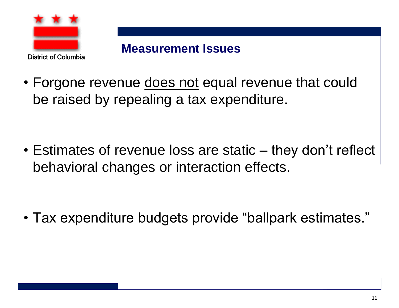

**Measurement Issues**

• Forgone revenue does not equal revenue that could be raised by repealing a tax expenditure.

• Estimates of revenue loss are static – they don't reflect behavioral changes or interaction effects.

• Tax expenditure budgets provide "ballpark estimates."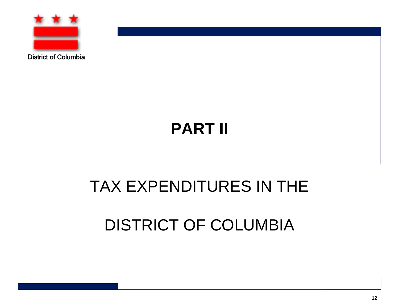

District of Columbia

# **PART II**

# TAX EXPENDITURES IN THE

# DISTRICT OF COLUMBIA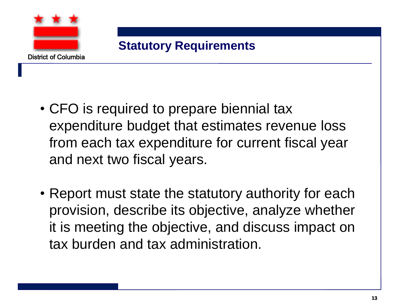

- CFO is required to prepare biennial tax expenditure budget that estimates revenue loss from each tax expenditure for current fiscal year and next two fiscal years.
- Report must state the statutory authority for each provision, describe its objective, analyze whether it is meeting the objective, and discuss impact on tax burden and tax administration.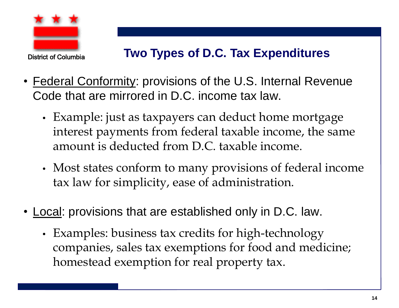

#### **Two Types of D.C. Tax Expenditures**

- Federal Conformity: provisions of the U.S. Internal Revenue Code that are mirrored in D.C. income tax law.
	- Example: just as taxpayers can deduct home mortgage interest payments from federal taxable income, the same amount is deducted from D.C. taxable income.
	- Most states conform to many provisions of federal income tax law for simplicity, ease of administration.
- Local: provisions that are established only in D.C. law.
	- Examples: business tax credits for high-technology companies, sales tax exemptions for food and medicine; homestead exemption for real property tax.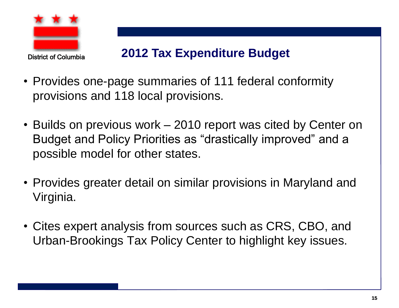

#### **2012 Tax Expenditure Budget**

- Provides one-page summaries of 111 federal conformity provisions and 118 local provisions.
- Builds on previous work 2010 report was cited by Center on Budget and Policy Priorities as "drastically improved" and a possible model for other states.
- Provides greater detail on similar provisions in Maryland and Virginia.
- Cites expert analysis from sources such as CRS, CBO, and Urban-Brookings Tax Policy Center to highlight key issues.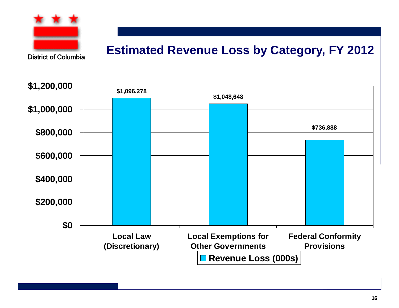

#### **Estimated Revenue Loss by Category, FY 2012**

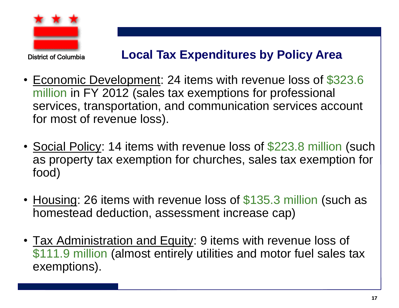

#### **Local Tax Expenditures by Policy Area**

- Economic Development: 24 items with revenue loss of \$323.6 million in FY 2012 (sales tax exemptions for professional services, transportation, and communication services account for most of revenue loss).
- Social Policy: 14 items with revenue loss of \$223.8 million (such as property tax exemption for churches, sales tax exemption for food)
- Housing: 26 items with revenue loss of \$135.3 million (such as homestead deduction, assessment increase cap)
- Tax Administration and Equity: 9 items with revenue loss of \$111.9 million (almost entirely utilities and motor fuel sales tax exemptions).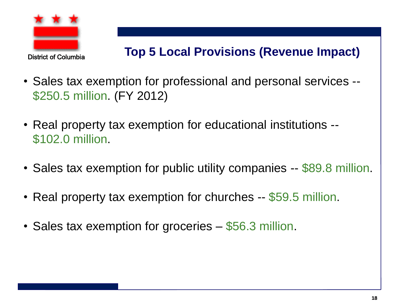

### **Top 5 Local Provisions (Revenue Impact)**

- Sales tax exemption for professional and personal services -- \$250.5 million. (FY 2012)
- Real property tax exemption for educational institutions -- \$102.0 million.
- Sales tax exemption for public utility companies -- \$89.8 million.
- Real property tax exemption for churches -- \$59.5 million.
- Sales tax exemption for groceries \$56.3 million.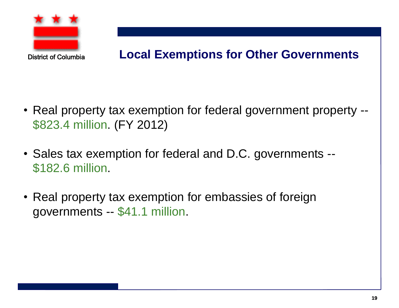

#### **Local Exemptions for Other Governments**

- Real property tax exemption for federal government property -- \$823.4 million. (FY 2012)
- Sales tax exemption for federal and D.C. governments -- \$182.6 million.
- Real property tax exemption for embassies of foreign governments -- \$41.1 million.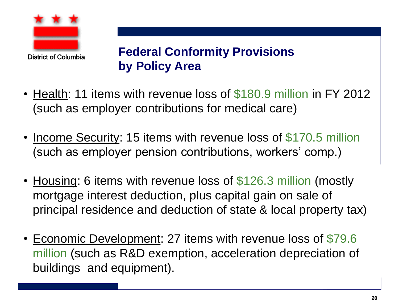

**Federal Conformity Provisions by Policy Area**

- Health: 11 items with revenue loss of \$180.9 million in FY 2012 (such as employer contributions for medical care)
- Income Security: 15 items with revenue loss of \$170.5 million (such as employer pension contributions, workers' comp.)
- Housing: 6 items with revenue loss of \$126.3 million (mostly mortgage interest deduction, plus capital gain on sale of principal residence and deduction of state & local property tax)
- Economic Development: 27 items with revenue loss of \$79.6 million (such as R&D exemption, acceleration depreciation of buildings and equipment).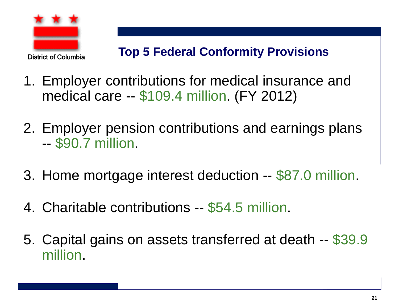

- 1. Employer contributions for medical insurance and medical care -- \$109.4 million. (FY 2012)
- 2. Employer pension contributions and earnings plans -- \$90.7 million.
- 3. Home mortgage interest deduction -- \$87.0 million.
- 4. Charitable contributions -- \$54.5 million.
- 5. Capital gains on assets transferred at death -- \$39.9 million.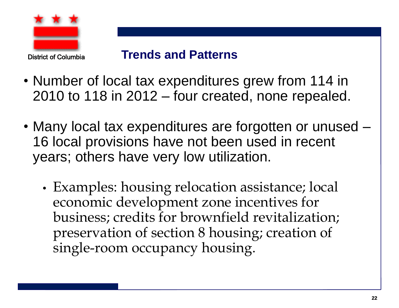

#### **Trends and Patterns**

- Number of local tax expenditures grew from 114 in 2010 to 118 in 2012 – four created, none repealed.
- Many local tax expenditures are forgotten or unused 16 local provisions have not been used in recent years; others have very low utilization.
	- Examples: housing relocation assistance; local economic development zone incentives for business; credits for brownfield revitalization; preservation of section 8 housing; creation of single-room occupancy housing.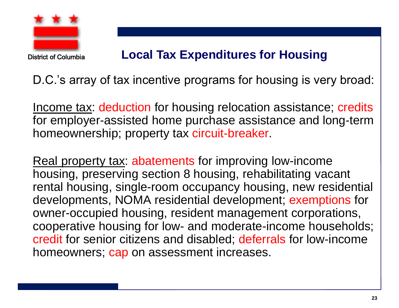

#### District of Columbia

#### **Local Tax Expenditures for Housing**

D.C.'s array of tax incentive programs for housing is very broad:

Income tax: deduction for housing relocation assistance; credits for employer-assisted home purchase assistance and long-term homeownership; property tax circuit-breaker.

Real property tax: abatements for improving low-income housing, preserving section 8 housing, rehabilitating vacant rental housing, single-room occupancy housing, new residential developments, NOMA residential development; exemptions for owner-occupied housing, resident management corporations, cooperative housing for low- and moderate-income households; credit for senior citizens and disabled; deferrals for low-income homeowners; cap on assessment increases.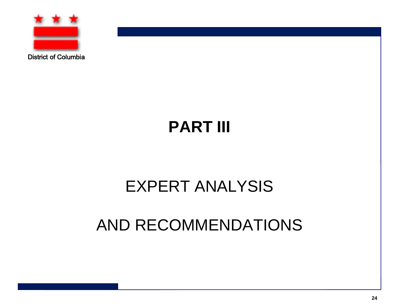

# **PART III**

### EXPERT ANALYSIS

### AND RECOMMENDATIONS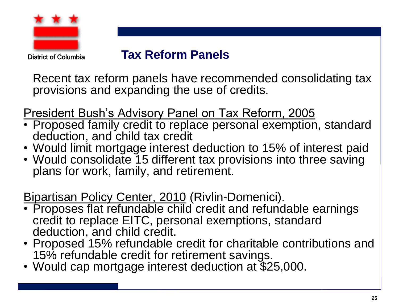

#### **Tax Reform Panels**

Recent tax reform panels have recommended consolidating tax provisions and expanding the use of credits.

President Bush's Advisory Panel on Tax Reform, 2005

- Proposed family credit to replace personal exemption, standard deduction, and child tax credit
- Would limit mortgage interest deduction to 15% of interest paid
- Would consolidate 15 different tax provisions into three saving plans for work, family, and retirement.

Bipartisan Policy Center, 2010 (Rivlin-Domenici).

- Proposes flat refundable child credit and refundable earnings credit to replace EITC, personal exemptions, standard deduction, and child credit.
- Proposed 15% refundable credit for charitable contributions and 15% refundable credit for retirement savings.
- Would cap mortgage interest deduction at \$25,000.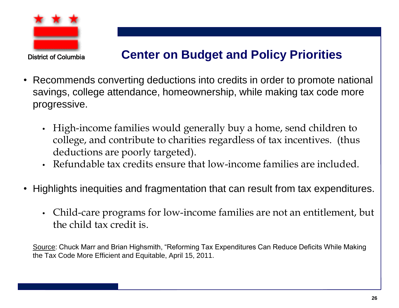

#### **Center on Budget and Policy Priorities**

- Recommends converting deductions into credits in order to promote national savings, college attendance, homeownership, while making tax code more progressive.
	- High-income families would generally buy a home, send children to college, and contribute to charities regardless of tax incentives. (thus deductions are poorly targeted).
	- Refundable tax credits ensure that low-income families are included.
- Highlights inequities and fragmentation that can result from tax expenditures.
	- Child-care programs for low-income families are not an entitlement, but the child tax credit is.

Source: Chuck Marr and Brian Highsmith, "Reforming Tax Expenditures Can Reduce Deficits While Making the Tax Code More Efficient and Equitable, April 15, 2011.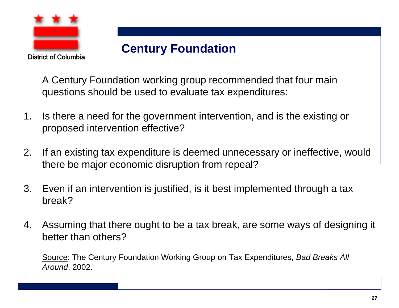

#### **Century Foundation**

A Century Foundation working group recommended that four main questions should be used to evaluate tax expenditures:

- 1. Is there a need for the government intervention, and is the existing or proposed intervention effective?
- 2. If an existing tax expenditure is deemed unnecessary or ineffective, would there be major economic disruption from repeal?
- 3. Even if an intervention is justified, is it best implemented through a tax break?
- 4. Assuming that there ought to be a tax break, are some ways of designing it better than others?

Source: The Century Foundation Working Group on Tax Expenditures, *Bad Breaks All Around*, 2002.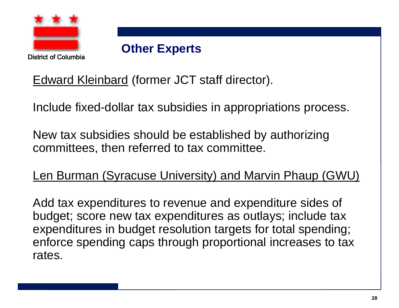

District of Columbia

#### **Other Experts**

Edward Kleinbard (former JCT staff director).

Include fixed-dollar tax subsidies in appropriations process.

New tax subsidies should be established by authorizing committees, then referred to tax committee.

Len Burman (Syracuse University) and Marvin Phaup (GWU)

Add tax expenditures to revenue and expenditure sides of budget; score new tax expenditures as outlays; include tax expenditures in budget resolution targets for total spending; enforce spending caps through proportional increases to tax rates.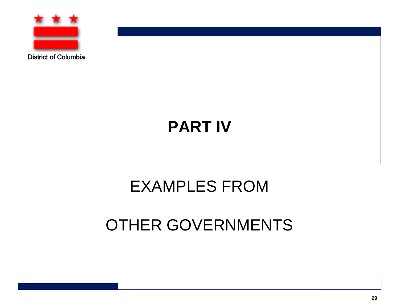

# **PART IV**

# EXAMPLES FROM

## OTHER GOVERNMENTS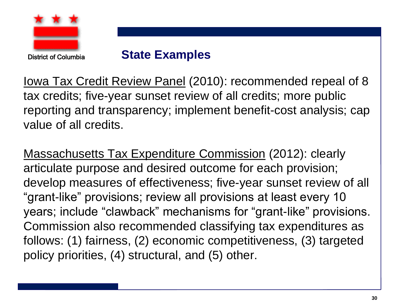

#### **State Examples**

Iowa Tax Credit Review Panel (2010): recommended repeal of 8 tax credits; five-year sunset review of all credits; more public reporting and transparency; implement benefit-cost analysis; cap value of all credits.

Massachusetts Tax Expenditure Commission (2012): clearly articulate purpose and desired outcome for each provision; develop measures of effectiveness; five-year sunset review of all "grant-like" provisions; review all provisions at least every 10 years; include "clawback" mechanisms for "grant-like" provisions. Commission also recommended classifying tax expenditures as follows: (1) fairness, (2) economic competitiveness, (3) targeted policy priorities, (4) structural, and (5) other.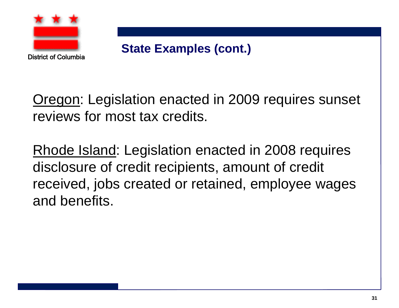

**State Examples (cont.)**

Oregon: Legislation enacted in 2009 requires sunset reviews for most tax credits.

Rhode Island: Legislation enacted in 2008 requires disclosure of credit recipients, amount of credit received, jobs created or retained, employee wages and benefits.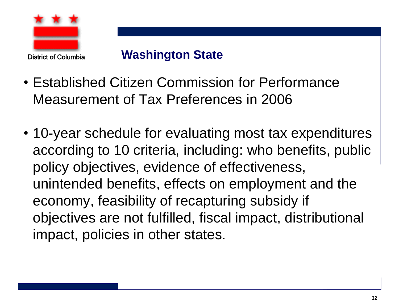

#### **Washington State**

- Established Citizen Commission for Performance Measurement of Tax Preferences in 2006
- 10-year schedule for evaluating most tax expenditures according to 10 criteria, including: who benefits, public policy objectives, evidence of effectiveness, unintended benefits, effects on employment and the economy, feasibility of recapturing subsidy if objectives are not fulfilled, fiscal impact, distributional impact, policies in other states.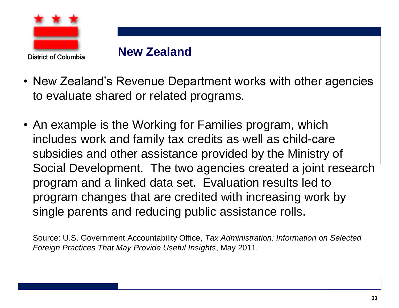

#### **New Zealand**

- New Zealand's Revenue Department works with other agencies to evaluate shared or related programs.
- An example is the Working for Families program, which includes work and family tax credits as well as child-care subsidies and other assistance provided by the Ministry of Social Development. The two agencies created a joint research program and a linked data set. Evaluation results led to program changes that are credited with increasing work by single parents and reducing public assistance rolls.

Source: U.S. Government Accountability Office, *Tax Administration: Information on Selected Foreign Practices That May Provide Useful Insights*, May 2011.